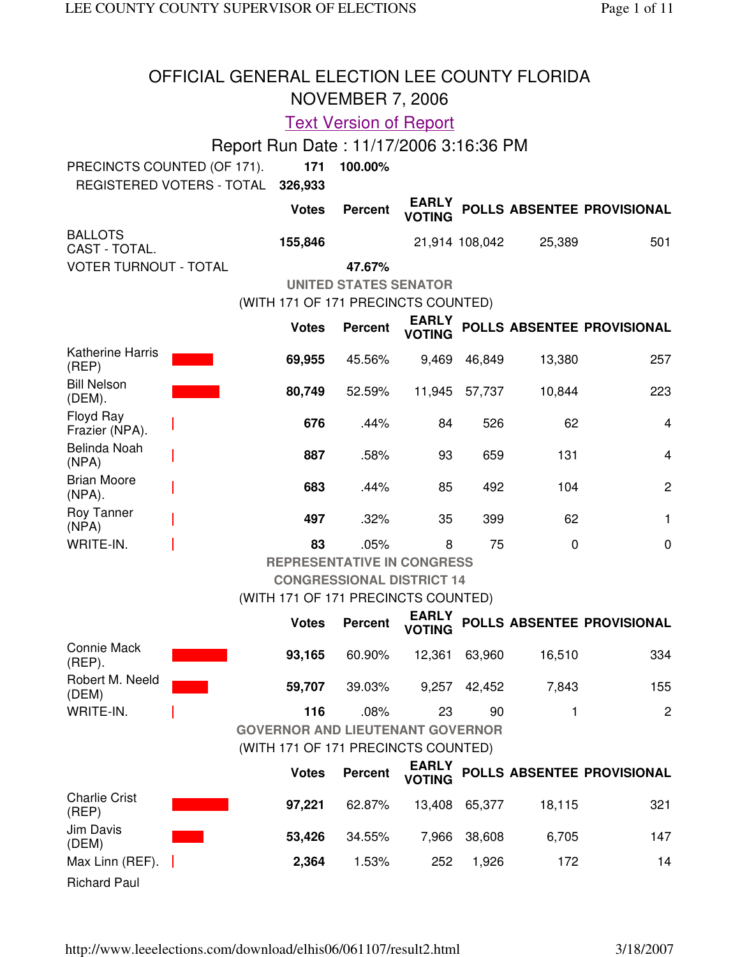| OFFICIAL GENERAL ELECTION LEE COUNTY FLORIDA<br><b>NOVEMBER 7, 2006</b>                       |                                        |                                         |                                   |               |                |             |                                  |  |
|-----------------------------------------------------------------------------------------------|----------------------------------------|-----------------------------------------|-----------------------------------|---------------|----------------|-------------|----------------------------------|--|
|                                                                                               |                                        |                                         | <b>Text Version of Report</b>     |               |                |             |                                  |  |
|                                                                                               | Report Run Date: 11/17/2006 3:16:36 PM |                                         |                                   |               |                |             |                                  |  |
| PRECINCTS COUNTED (OF 171).                                                                   |                                        | 171                                     | 100.00%                           |               |                |             |                                  |  |
| REGISTERED VOTERS - TOTAL                                                                     |                                        | 326,933                                 |                                   |               |                |             |                                  |  |
| <b>EARLY</b><br>POLLS ABSENTEE PROVISIONAL<br><b>Votes</b><br><b>Percent</b><br><b>VOTING</b> |                                        |                                         |                                   |               |                |             |                                  |  |
| <b>BALLOTS</b><br>CAST - TOTAL.                                                               |                                        | 155,846                                 |                                   |               | 21,914 108,042 | 25,389      | 501                              |  |
| <b>VOTER TURNOUT - TOTAL</b>                                                                  |                                        |                                         | 47.67%                            |               |                |             |                                  |  |
|                                                                                               |                                        |                                         | <b>UNITED STATES SENATOR</b>      |               |                |             |                                  |  |
|                                                                                               |                                        | (WITH 171 OF 171 PRECINCTS COUNTED)     |                                   | <b>EARLY</b>  |                |             |                                  |  |
|                                                                                               |                                        | <b>Votes</b>                            | <b>Percent</b>                    | <b>VOTING</b> |                |             | POLLS ABSENTEE PROVISIONAL       |  |
| <b>Katherine Harris</b><br>(REP)                                                              |                                        | 69,955                                  | 45.56%                            | 9,469         | 46,849         | 13,380      | 257                              |  |
| <b>Bill Nelson</b><br>(DEM).                                                                  |                                        | 80,749                                  | 52.59%                            | 11,945        | 57,737         | 10,844      | 223                              |  |
| Floyd Ray<br>Frazier (NPA).                                                                   |                                        | 676                                     | .44%                              | 84            | 526            | 62          | 4                                |  |
| Belinda Noah<br>(NPA)                                                                         |                                        | 887                                     | .58%                              | 93            | 659            | 131         | $\overline{4}$                   |  |
| <b>Brian Moore</b><br>$(NPA)$ .                                                               |                                        | 683                                     | .44%                              | 85            | 492            | 104         | 2                                |  |
| Roy Tanner<br>(NPA)                                                                           |                                        | 497                                     | .32%                              | 35            | 399            | 62          | 1                                |  |
| WRITE-IN.                                                                                     |                                        | 83                                      | .05%                              | 8             | 75             | $\mathbf 0$ | $\mathbf 0$                      |  |
|                                                                                               |                                        |                                         | <b>REPRESENTATIVE IN CONGRESS</b> |               |                |             |                                  |  |
|                                                                                               |                                        |                                         | <b>CONGRESSIONAL DISTRICT 14</b>  |               |                |             |                                  |  |
|                                                                                               |                                        | (WITH 171 OF 171 PRECINCTS COUNTED)     |                                   | <b>EARLY</b>  |                |             |                                  |  |
|                                                                                               |                                        | <b>Votes</b>                            | <b>Percent</b>                    | <b>VOTING</b> |                |             | POLLS ABSENTEE PROVISIONAL       |  |
| Connie Mack<br>$(REP)$ .                                                                      |                                        | 93,165                                  | 60.90%                            | 12,361        | 63,960         | 16,510      | 334                              |  |
| Robert M. Neeld<br>(DEM)                                                                      |                                        | 59,707                                  | 39.03%                            |               | 9,257 42,452   | 7,843       | 155                              |  |
| WRITE-IN.                                                                                     |                                        | 116                                     | .08%                              | 23            | 90             | 1           | $\mathbf{2}$                     |  |
|                                                                                               |                                        | <b>GOVERNOR AND LIEUTENANT GOVERNOR</b> |                                   |               |                |             |                                  |  |
|                                                                                               |                                        | (WITH 171 OF 171 PRECINCTS COUNTED)     |                                   |               |                |             |                                  |  |
|                                                                                               |                                        | <b>Votes</b>                            | <b>Percent</b>                    | <b>VOTING</b> |                |             | EARLY POLLS ABSENTEE PROVISIONAL |  |
| <b>Charlie Crist</b><br>(REP)                                                                 |                                        | 97,221                                  | 62.87%                            |               | 13,408 65,377  | 18,115      | 321                              |  |
| Jim Davis<br>(DEM)                                                                            |                                        | 53,426                                  | 34.55%                            | 7,966         | 38,608         | 6,705       | 147                              |  |
| Max Linn (REF).                                                                               |                                        | 2,364                                   | 1.53%                             | 252           | 1,926          | 172         | 14                               |  |

Richard Paul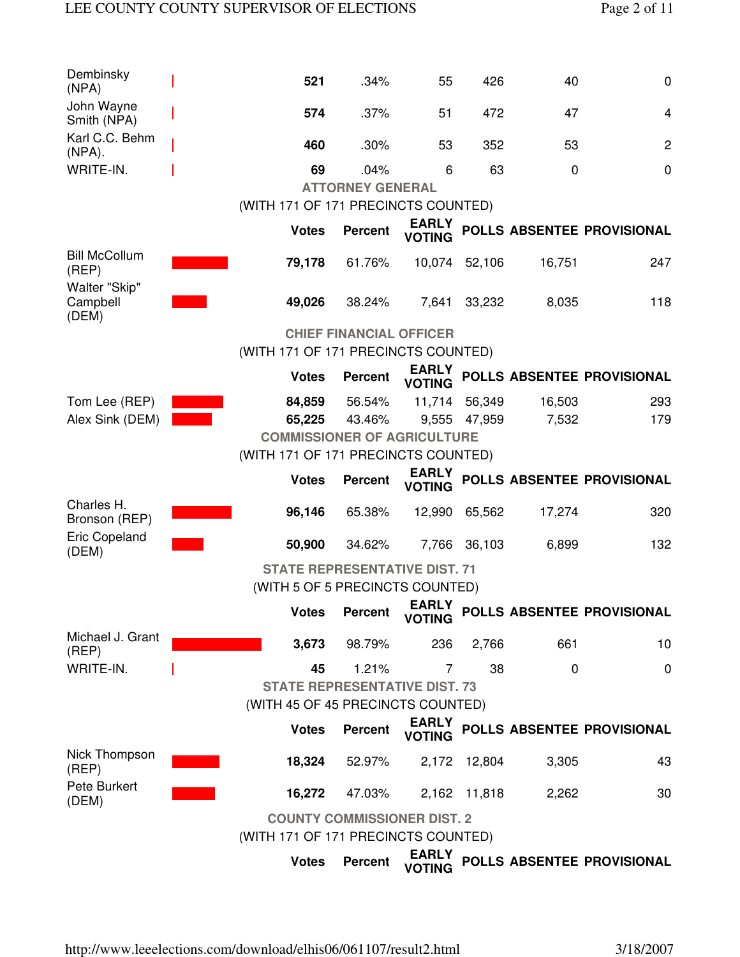| Dembinsky<br>(NPA)                             | 521                                  | .34%                               | 55                            | 426          | 40          | $\mathbf 0$                |
|------------------------------------------------|--------------------------------------|------------------------------------|-------------------------------|--------------|-------------|----------------------------|
| John Wayne<br>Smith (NPA)                      | 574                                  | .37%                               | 51                            | 472          | 47          | $\overline{4}$             |
| Karl C.C. Behm<br>$(NPA)$ .                    | 460                                  | .30%                               | 53                            | 352          | 53          | $\mathbf{2}$               |
| WRITE-IN.                                      | 69                                   | .04%                               | 6                             | 63           | $\mathbf 0$ | $\mathbf 0$                |
|                                                |                                      | <b>ATTORNEY GENERAL</b>            |                               |              |             |                            |
|                                                | (WITH 171 OF 171 PRECINCTS COUNTED)  |                                    |                               |              |             |                            |
|                                                | <b>Votes</b>                         | <b>Percent</b>                     | <b>EARLY</b><br><b>VOTING</b> |              |             | POLLS ABSENTEE PROVISIONAL |
| <b>Bill McCollum</b><br>(REF)<br>Walter "Skip" | 79,178                               | 61.76%                             | 10,074                        | 52,106       | 16,751      | 247                        |
| Campbell<br>(DEM)                              | 49,026                               | 38.24%                             | 7,641                         | 33,232       | 8,035       | 118                        |
|                                                |                                      | <b>CHIEF FINANCIAL OFFICER</b>     |                               |              |             |                            |
|                                                | (WITH 171 OF 171 PRECINCTS COUNTED)  |                                    |                               |              |             |                            |
|                                                | <b>Votes</b>                         | <b>Percent</b>                     | <b>EARLY</b><br><b>VOTING</b> |              |             | POLLS ABSENTEE PROVISIONAL |
| Tom Lee (REP)                                  | 84,859                               | 56.54%                             | 11,714                        | 56,349       | 16,503      | 293                        |
| Alex Sink (DEM)                                | 65,225                               | 43.46%                             |                               | 9,555 47,959 | 7,532       | 179                        |
|                                                | <b>COMMISSIONER OF AGRICULTURE</b>   |                                    |                               |              |             |                            |
|                                                | (WITH 171 OF 171 PRECINCTS COUNTED)  |                                    |                               |              |             |                            |
|                                                |                                      |                                    |                               |              |             |                            |
|                                                | <b>Votes</b>                         | <b>Percent</b>                     | <b>EARLY</b><br><b>VOTING</b> |              |             | POLLS ABSENTEE PROVISIONAL |
| Charles H.<br>Bronson (REP)                    | 96,146                               | 65.38%                             | 12,990                        | 65,562       | 17,274      | 320                        |
| <b>Eric Copeland</b>                           | 50,900                               | 34.62%                             | 7,766                         | 36,103       | 6,899       | 132                        |
| (DEM)                                          | <b>STATE REPRESENTATIVE DIST. 71</b> |                                    |                               |              |             |                            |
|                                                | (WITH 5 OF 5 PRECINCTS COUNTED)      |                                    |                               |              |             |                            |
|                                                | <b>Votes</b>                         | <b>Percent</b>                     | <b>EARLY</b><br><b>VOTING</b> |              |             | POLLS ABSENTEE PROVISIONAL |
| Michael J. Grant<br>(REF)                      | 3,673                                | 98.79%                             | 236                           | 2,766        | 661         | 10                         |
| WRITE-IN.                                      | 45                                   | 1.21%                              | 7                             | 38           | 0           | 0                          |
|                                                | <b>STATE REPRESENTATIVE DIST. 73</b> |                                    |                               |              |             |                            |
|                                                | (WITH 45 OF 45 PRECINCTS COUNTED)    |                                    |                               |              |             |                            |
|                                                | <b>Votes</b>                         | <b>Percent</b>                     | <b>EARLY</b><br><b>VOTING</b> |              |             | POLLS ABSENTEE PROVISIONAL |
| Nick Thompson<br>(REF)                         | 18,324                               | 52.97%                             | 2,172                         | 12,804       | 3,305       | 43                         |
| Pete Burkert<br>(DEM)                          | 16,272                               | 47.03%                             |                               | 2,162 11,818 | 2,262       | 30                         |
|                                                | (WITH 171 OF 171 PRECINCTS COUNTED)  | <b>COUNTY COMMISSIONER DIST. 2</b> |                               |              |             |                            |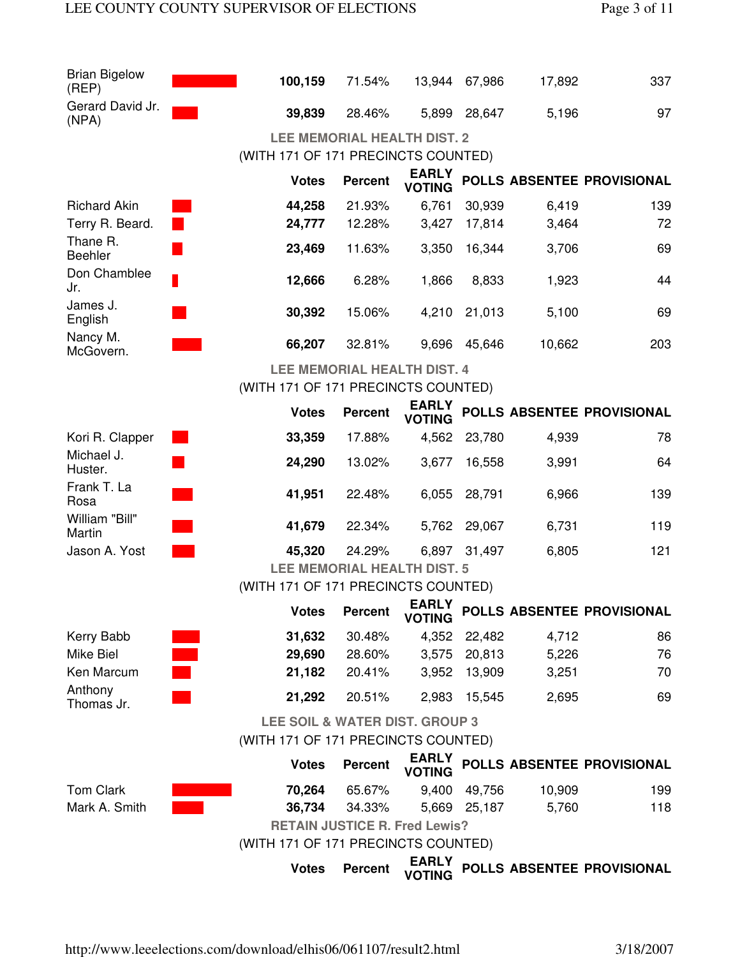| <b>Brian Bigelow</b><br>(REP) | 100,159                              | 71.54%               |                               | 13,944 67,986 | 17,892 | 337                        |  |  |  |
|-------------------------------|--------------------------------------|----------------------|-------------------------------|---------------|--------|----------------------------|--|--|--|
| Gerard David Jr.<br>(NPA)     | 39,839                               | 28.46%               |                               | 5,899 28,647  | 5,196  | 97                         |  |  |  |
|                               | <b>LEE MEMORIAL HEALTH DIST. 2</b>   |                      |                               |               |        |                            |  |  |  |
|                               | (WITH 171 OF 171 PRECINCTS COUNTED)  |                      |                               |               |        |                            |  |  |  |
|                               | <b>Votes</b>                         | <b>Percent</b>       | <b>EARLY</b><br><b>VOTING</b> |               |        | POLLS ABSENTEE PROVISIONAL |  |  |  |
| <b>Richard Akin</b>           | 44,258                               | 21.93%               | 6,761                         | 30,939        | 6,419  | 139                        |  |  |  |
| Terry R. Beard.               | 24,777                               | 12.28%               | 3,427                         | 17,814        | 3,464  | 72                         |  |  |  |
| Thane R.<br><b>Beehler</b>    | 23,469                               | 11.63%               | 3,350                         | 16,344        | 3,706  | 69                         |  |  |  |
| Don Chamblee<br>Jr.           | 12,666                               | 6.28%                | 1,866                         | 8,833         | 1,923  | 44                         |  |  |  |
| James J.<br>English           | 30,392                               | 15.06%               | 4,210                         | 21,013        | 5,100  | 69                         |  |  |  |
| Nancy M.<br>McGovern.         | 66,207                               | 32.81%               | 9,696                         | 45,646        | 10,662 | 203                        |  |  |  |
|                               | <b>LEE MEMORIAL HEALTH DIST. 4</b>   |                      |                               |               |        |                            |  |  |  |
|                               | (WITH 171 OF 171 PRECINCTS COUNTED)  |                      |                               |               |        |                            |  |  |  |
|                               | <b>Votes</b>                         | <b>Percent</b>       | <b>EARLY</b><br><b>VOTING</b> |               |        | POLLS ABSENTEE PROVISIONAL |  |  |  |
| Kori R. Clapper               | 33,359                               | 17.88%               | 4,562                         | 23,780        | 4,939  | 78                         |  |  |  |
| Michael J.<br>Huster.         | 24,290                               | 13.02%               | 3,677                         | 16,558        | 3,991  | 64                         |  |  |  |
| Frank T. La<br>Rosa           | 41,951                               | 22.48%               | 6,055                         | 28,791        | 6,966  | 139                        |  |  |  |
| William "Bill"<br>Martin      | 41,679                               | 22.34%               | 5,762                         | 29,067        | 6,731  | 119                        |  |  |  |
| Jason A. Yost                 | 45,320                               | 24.29%               | 6,897                         | 31,497        | 6,805  | 121                        |  |  |  |
|                               | <b>LEE MEMORIAL HEALTH DIST. 5</b>   |                      |                               |               |        |                            |  |  |  |
|                               | (WITH 171 OF 171 PRECINCTS COUNTED)  |                      |                               |               |        |                            |  |  |  |
|                               |                                      | <b>Votes Percent</b> | <b>EARLY</b><br><b>VOTING</b> |               |        | POLLS ABSENTEE PROVISIONAL |  |  |  |
| Kerry Babb                    | 31,632                               | 30.48%               |                               | 4,352 22,482  | 4,712  | 86                         |  |  |  |
| Mike Biel                     | 29,690                               | 28.60%               |                               | 3,575 20,813  | 5,226  | 76                         |  |  |  |
| Ken Marcum                    | 21,182                               | 20.41%               | 3,952                         | 13,909        | 3,251  | 70                         |  |  |  |
| Anthony<br>Thomas Jr.         | 21,292                               | 20.51%               | 2,983                         | 15,545        | 2,695  | 69                         |  |  |  |
|                               | LEE SOIL & WATER DIST. GROUP 3       |                      |                               |               |        |                            |  |  |  |
|                               | (WITH 171 OF 171 PRECINCTS COUNTED)  |                      |                               |               |        |                            |  |  |  |
|                               | <b>Votes</b>                         | <b>Percent</b>       | <b>EARLY</b><br><b>VOTING</b> |               |        | POLLS ABSENTEE PROVISIONAL |  |  |  |
| <b>Tom Clark</b>              | 70,264                               | 65.67%               | 9,400                         | 49,756        | 10,909 | 199                        |  |  |  |
| Mark A. Smith                 | 36,734                               | 34.33%               |                               | 5,669 25,187  | 5,760  | 118                        |  |  |  |
|                               | <b>RETAIN JUSTICE R. Fred Lewis?</b> |                      |                               |               |        |                            |  |  |  |
|                               | (WITH 171 OF 171 PRECINCTS COUNTED)  |                      |                               |               |        |                            |  |  |  |
|                               | <b>Votes</b>                         | <b>Percent</b>       | <b>EARLY</b><br><b>VOTING</b> |               |        | POLLS ABSENTEE PROVISIONAL |  |  |  |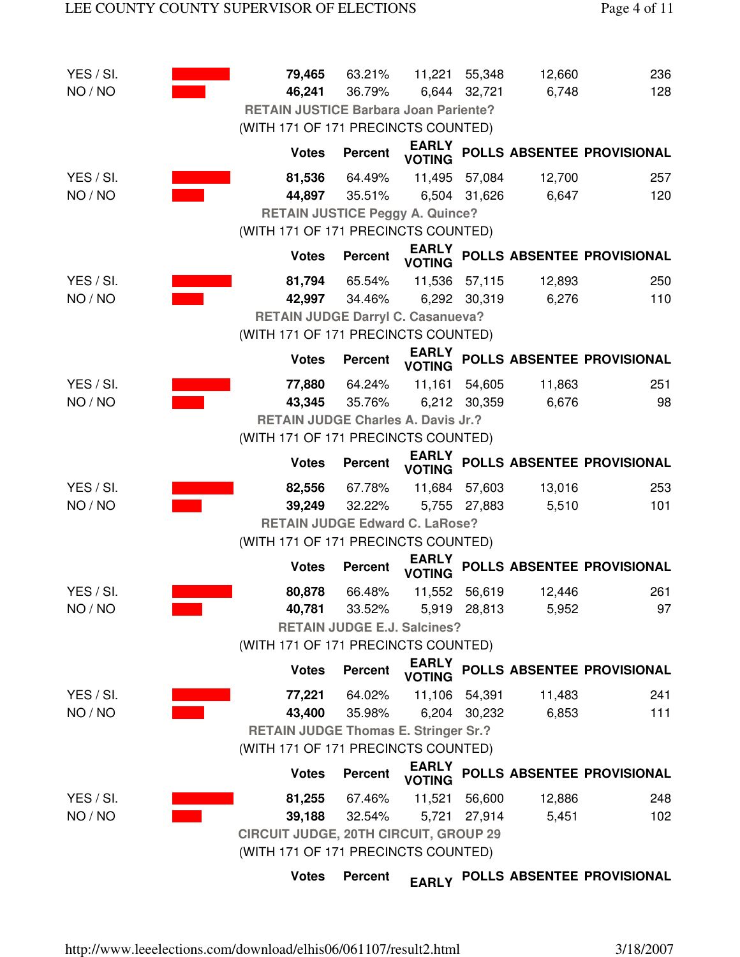| YES / SI. | 79,465                                       | 63.21%                             | 11,221 55,348                 |               | 12,660 | 236                        |
|-----------|----------------------------------------------|------------------------------------|-------------------------------|---------------|--------|----------------------------|
| NO / NO   | 46,241                                       | 36.79%                             |                               | 6,644 32,721  | 6,748  | 128                        |
|           | <b>RETAIN JUSTICE Barbara Joan Pariente?</b> |                                    |                               |               |        |                            |
|           | (WITH 171 OF 171 PRECINCTS COUNTED)          |                                    |                               |               |        |                            |
|           | <b>Votes</b>                                 | <b>Percent</b>                     | <b>EARLY</b><br><b>VOTING</b> |               |        | POLLS ABSENTEE PROVISIONAL |
| YES / SI. | 81,536                                       | 64.49%                             |                               | 11,495 57,084 | 12,700 | 257                        |
| NO / NO   | 44,897                                       | 35.51%                             |                               | 6,504 31,626  | 6,647  | 120                        |
|           | <b>RETAIN JUSTICE Peggy A. Quince?</b>       |                                    |                               |               |        |                            |
|           | (WITH 171 OF 171 PRECINCTS COUNTED)          |                                    |                               |               |        |                            |
|           | <b>Votes</b>                                 | <b>Percent</b>                     | <b>EARLY</b><br><b>VOTING</b> |               |        | POLLS ABSENTEE PROVISIONAL |
| YES / SI. | 81,794                                       | 65.54%                             |                               | 11,536 57,115 | 12,893 | 250                        |
| NO / NO   | 42,997                                       | 34.46%                             |                               | 6,292 30,319  | 6,276  | 110                        |
|           | <b>RETAIN JUDGE Darryl C. Casanueva?</b>     |                                    |                               |               |        |                            |
|           | (WITH 171 OF 171 PRECINCTS COUNTED)          |                                    |                               |               |        |                            |
|           | <b>Votes</b>                                 | <b>Percent</b>                     | <b>EARLY</b><br><b>VOTING</b> |               |        | POLLS ABSENTEE PROVISIONAL |
| YES / SI. | 77,880                                       | 64.24%                             | 11,161                        | 54,605        | 11,863 | 251                        |
| NO / NO   | 43,345                                       | 35.76%                             |                               | 6,212 30,359  | 6,676  | 98                         |
|           | <b>RETAIN JUDGE Charles A. Davis Jr.?</b>    |                                    |                               |               |        |                            |
|           | (WITH 171 OF 171 PRECINCTS COUNTED)          |                                    |                               |               |        |                            |
|           | <b>Votes</b>                                 | <b>Percent</b>                     | <b>EARLY</b><br><b>VOTING</b> |               |        | POLLS ABSENTEE PROVISIONAL |
| YES / SI. | 82,556                                       | 67.78%                             |                               | 11,684 57,603 | 13,016 | 253                        |
| NO / NO   | 39,249                                       | 32.22%                             |                               | 5,755 27,883  | 5,510  | 101                        |
|           | <b>RETAIN JUDGE Edward C. LaRose?</b>        |                                    |                               |               |        |                            |
|           | (WITH 171 OF 171 PRECINCTS COUNTED)          |                                    |                               |               |        |                            |
|           | <b>Votes</b>                                 | <b>Percent</b>                     | <b>EARLY</b><br><b>VOTING</b> |               |        | POLLS ABSENTEE PROVISIONAL |
| YES / SI. | 80,878                                       | 66.48%                             |                               | 11,552 56,619 | 12,446 | 261                        |
| NO / NO   | 40,781                                       | 33.52%                             |                               | 5,919 28,813  | 5,952  | 97                         |
|           |                                              | <b>RETAIN JUDGE E.J. Salcines?</b> |                               |               |        |                            |
|           | (WITH 171 OF 171 PRECINCTS COUNTED)          |                                    |                               |               |        |                            |
|           | <b>Votes</b>                                 | <b>Percent</b>                     | <b>EARLY</b><br><b>VOTING</b> |               |        | POLLS ABSENTEE PROVISIONAL |
| YES / SI. | 77,221                                       | 64.02%                             |                               | 11,106 54,391 | 11,483 | 241                        |
| NO / NO   | 43,400                                       | 35.98%                             |                               | 6,204 30,232  | 6,853  | $111$                      |
|           | <b>RETAIN JUDGE Thomas E. Stringer Sr.?</b>  |                                    |                               |               |        |                            |
|           | (WITH 171 OF 171 PRECINCTS COUNTED)          |                                    |                               |               |        |                            |
|           | <b>Votes</b>                                 | <b>Percent</b>                     | <b>EARLY</b><br><b>VOTING</b> |               |        | POLLS ABSENTEE PROVISIONAL |
| YES / SI. | 81,255                                       | 67.46%                             | 11,521                        | 56,600        | 12,886 | 248                        |
| NO / NO   | 39,188                                       | 32.54%                             | 5,721                         | 27,914        | 5,451  | 102                        |
|           | <b>CIRCUIT JUDGE, 20TH CIRCUIT, GROUP 29</b> |                                    |                               |               |        |                            |
|           | (WITH 171 OF 171 PRECINCTS COUNTED)          |                                    |                               |               |        |                            |
|           | <b>Votes</b>                                 | <b>Percent</b>                     | <b>EARLY</b>                  |               |        | POLLS ABSENTEE PROVISIONAL |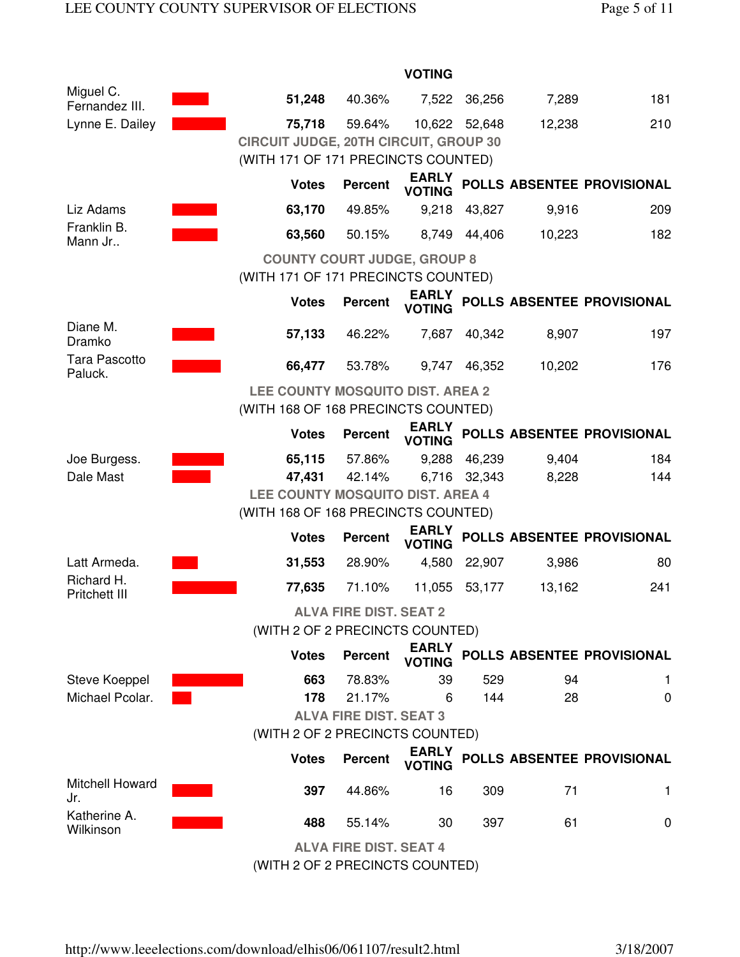|                                 |                                                                                               |                               | <b>VOTING</b>                 |              |        |                            |  |  |  |  |
|---------------------------------|-----------------------------------------------------------------------------------------------|-------------------------------|-------------------------------|--------------|--------|----------------------------|--|--|--|--|
| Miguel C.<br>Fernandez III.     | 51,248                                                                                        | 40.36%                        | 7,522                         | 36,256       | 7,289  | 181                        |  |  |  |  |
| Lynne E. Dailey                 | 75,718<br><b>CIRCUIT JUDGE, 20TH CIRCUIT, GROUP 30</b><br>(WITH 171 OF 171 PRECINCTS COUNTED) | 59.64%                        | 10,622                        | 52,648       | 12,238 | 210                        |  |  |  |  |
|                                 | <b>Votes</b>                                                                                  | <b>Percent</b>                | <b>EARLY</b><br><b>VOTING</b> |              |        | POLLS ABSENTEE PROVISIONAL |  |  |  |  |
| Liz Adams                       | 63,170                                                                                        | 49.85%                        | 9,218                         | 43,827       | 9,916  | 209                        |  |  |  |  |
| Franklin B.<br>Mann Jr          | 63,560                                                                                        | 50.15%                        |                               | 8,749 44,406 | 10,223 | 182                        |  |  |  |  |
|                                 | <b>COUNTY COURT JUDGE, GROUP 8</b>                                                            |                               |                               |              |        |                            |  |  |  |  |
|                                 | (WITH 171 OF 171 PRECINCTS COUNTED)                                                           |                               |                               |              |        |                            |  |  |  |  |
|                                 | <b>Votes</b>                                                                                  | <b>Percent</b>                | <b>EARLY</b><br><b>VOTING</b> |              |        | POLLS ABSENTEE PROVISIONAL |  |  |  |  |
| Diane M.<br>Dramko              | 57,133                                                                                        | 46.22%                        | 7,687                         | 40,342       | 8,907  | 197                        |  |  |  |  |
| <b>Tara Pascotto</b><br>Paluck. | 66,477                                                                                        | 53.78%                        | 9,747                         | 46,352       | 10,202 | 176                        |  |  |  |  |
|                                 | LEE COUNTY MOSQUITO DIST. AREA 2<br>(WITH 168 OF 168 PRECINCTS COUNTED)                       |                               |                               |              |        |                            |  |  |  |  |
|                                 | <b>Votes</b>                                                                                  | <b>Percent</b>                | <b>EARLY</b><br><b>VOTING</b> |              |        | POLLS ABSENTEE PROVISIONAL |  |  |  |  |
| Joe Burgess.                    | 65,115                                                                                        | 57.86%                        | 9,288                         | 46,239       | 9,404  | 184                        |  |  |  |  |
| Dale Mast                       | 47,431                                                                                        | 42.14%                        |                               | 6,716 32,343 | 8,228  | 144                        |  |  |  |  |
|                                 | LEE COUNTY MOSQUITO DIST. AREA 4<br>(WITH 168 OF 168 PRECINCTS COUNTED)                       |                               |                               |              |        |                            |  |  |  |  |
|                                 | <b>Votes</b>                                                                                  |                               | <b>EARLY</b>                  |              |        | POLLS ABSENTEE PROVISIONAL |  |  |  |  |
|                                 |                                                                                               | <b>Percent</b>                | <b>VOTING</b>                 |              |        |                            |  |  |  |  |
| Latt Armeda.<br>Richard H.      | 31,553                                                                                        | 28.90%                        | 4,580                         | 22,907       | 3,986  | 80                         |  |  |  |  |
| <b>Pritchett III</b>            | 77,635                                                                                        | 71.10%                        | 11,055                        | 53,177       | 13,162 | 241                        |  |  |  |  |
|                                 | (WITH 2 OF 2 PRECINCTS COUNTED)                                                               | <b>ALVA FIRE DIST. SEAT 2</b> |                               |              |        |                            |  |  |  |  |
|                                 | <b>Votes</b>                                                                                  | <b>Percent</b>                | <b>EARLY</b><br><b>VOTING</b> |              |        | POLLS ABSENTEE PROVISIONAL |  |  |  |  |
| Steve Koeppel                   | 663                                                                                           | 78.83%                        | 39                            | 529          | 94     | 1.                         |  |  |  |  |
| Michael Pcolar.                 | 178                                                                                           | 21.17%                        | 6                             | 144          | 28     | 0                          |  |  |  |  |
|                                 |                                                                                               | <b>ALVA FIRE DIST. SEAT 3</b> |                               |              |        |                            |  |  |  |  |
|                                 | (WITH 2 OF 2 PRECINCTS COUNTED)                                                               |                               |                               |              |        |                            |  |  |  |  |
|                                 | <b>Votes</b>                                                                                  | <b>Percent</b>                | <b>EARLY</b><br><b>VOTING</b> |              |        | POLLS ABSENTEE PROVISIONAL |  |  |  |  |
| <b>Mitchell Howard</b><br>Jr.   | 397                                                                                           | 44.86%                        | 16                            | 309          | 71     | 1                          |  |  |  |  |
| Katherine A.<br>Wilkinson       | 488                                                                                           | 55.14%                        | 30                            | 397          | 61     | 0                          |  |  |  |  |
|                                 |                                                                                               | <b>ALVA FIRE DIST. SEAT 4</b> |                               |              |        |                            |  |  |  |  |

(WITH 2 OF 2 PRECINCTS COUNTED)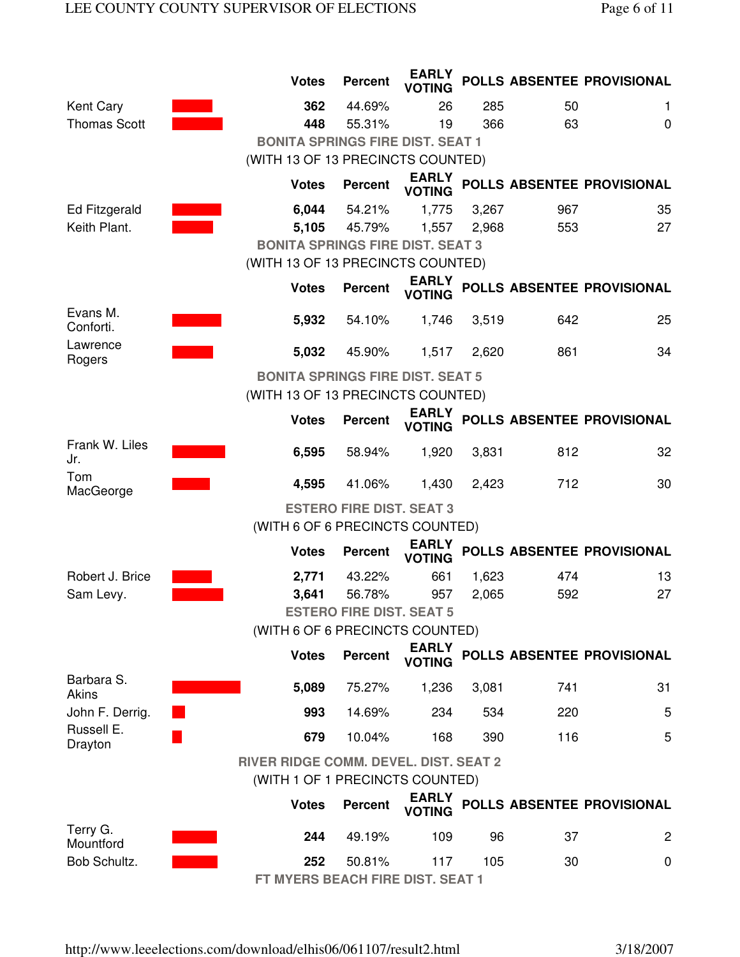|                       | <b>Votes</b>                                                                    | <b>Percent</b>                    | <b>EARLY</b><br><b>VOTING</b> |       |     | POLLS ABSENTEE PROVISIONAL |  |  |  |  |
|-----------------------|---------------------------------------------------------------------------------|-----------------------------------|-------------------------------|-------|-----|----------------------------|--|--|--|--|
| <b>Kent Cary</b>      | 362                                                                             | 44.69%                            | 26                            | 285   | 50  | 1                          |  |  |  |  |
| <b>Thomas Scott</b>   | 448                                                                             | 55.31%                            | 19                            | 366   | 63  | 0                          |  |  |  |  |
|                       | <b>BONITA SPRINGS FIRE DIST. SEAT 1</b>                                         |                                   |                               |       |     |                            |  |  |  |  |
|                       | (WITH 13 OF 13 PRECINCTS COUNTED)                                               |                                   |                               |       |     |                            |  |  |  |  |
|                       | <b>Votes</b>                                                                    | <b>Percent</b>                    | <b>EARLY</b><br><b>VOTING</b> |       |     | POLLS ABSENTEE PROVISIONAL |  |  |  |  |
| Ed Fitzgerald         | 6,044                                                                           | 54.21%                            | 1,775                         | 3,267 | 967 | 35                         |  |  |  |  |
| Keith Plant.          | 5,105                                                                           | 45.79%                            | 1,557                         | 2,968 | 553 | 27                         |  |  |  |  |
|                       | <b>BONITA SPRINGS FIRE DIST. SEAT 3</b>                                         |                                   |                               |       |     |                            |  |  |  |  |
|                       |                                                                                 | (WITH 13 OF 13 PRECINCTS COUNTED) |                               |       |     |                            |  |  |  |  |
|                       | <b>Votes</b>                                                                    | <b>Percent</b>                    | <b>EARLY</b><br><b>VOTING</b> |       |     | POLLS ABSENTEE PROVISIONAL |  |  |  |  |
| Evans M.<br>Conforti. | 5,932                                                                           | 54.10%                            | 1,746                         | 3,519 | 642 | 25                         |  |  |  |  |
| Lawrence<br>Rogers    | 5,032                                                                           | 45.90%                            | 1,517                         | 2,620 | 861 | 34                         |  |  |  |  |
|                       | <b>BONITA SPRINGS FIRE DIST. SEAT 5</b>                                         |                                   |                               |       |     |                            |  |  |  |  |
|                       | (WITH 13 OF 13 PRECINCTS COUNTED)                                               |                                   |                               |       |     |                            |  |  |  |  |
|                       | <b>Votes</b>                                                                    | <b>Percent</b>                    | <b>EARLY</b><br><b>VOTING</b> |       |     | POLLS ABSENTEE PROVISIONAL |  |  |  |  |
| Frank W. Liles<br>Jr. | 6,595                                                                           | 58.94%                            | 1,920                         | 3,831 | 812 | 32                         |  |  |  |  |
| Tom<br>MacGeorge      | 4,595                                                                           | 41.06%                            | 1,430                         | 2,423 | 712 | 30                         |  |  |  |  |
|                       |                                                                                 | <b>ESTERO FIRE DIST. SEAT 3</b>   |                               |       |     |                            |  |  |  |  |
|                       | (WITH 6 OF 6 PRECINCTS COUNTED)                                                 |                                   |                               |       |     |                            |  |  |  |  |
|                       | <b>Votes</b>                                                                    | <b>Percent</b>                    | <b>EARLY</b><br><b>VOTING</b> |       |     | POLLS ABSENTEE PROVISIONAL |  |  |  |  |
| Robert J. Brice       | 2,771                                                                           | 43.22%                            | 661                           | 1,623 | 474 | 13                         |  |  |  |  |
| Sam Levy.             | 3,641                                                                           | 56.78%                            | 957                           | 2,065 | 592 | 27                         |  |  |  |  |
|                       |                                                                                 | <b>ESTERO FIRE DIST. SEAT 5</b>   |                               |       |     |                            |  |  |  |  |
|                       | (WITH 6 OF 6 PRECINCTS COUNTED)                                                 |                                   |                               |       |     |                            |  |  |  |  |
|                       | <b>Votes</b>                                                                    | <b>Percent</b>                    | <b>EARLY</b><br><b>VOTING</b> |       |     | POLLS ABSENTEE PROVISIONAL |  |  |  |  |
| Barbara S.<br>Akins   | 5,089                                                                           | 75.27%                            | 1,236                         | 3,081 | 741 | 31                         |  |  |  |  |
| John F. Derrig.       | 993                                                                             | 14.69%                            | 234                           | 534   | 220 | 5                          |  |  |  |  |
| Russell E.<br>Drayton | 679                                                                             | 10.04%                            | 168                           | 390   | 116 | 5                          |  |  |  |  |
|                       | <b>RIVER RIDGE COMM. DEVEL. DIST. SEAT 2</b><br>(WITH 1 OF 1 PRECINCTS COUNTED) |                                   |                               |       |     |                            |  |  |  |  |
|                       | <b>Votes</b>                                                                    | <b>Percent</b>                    | <b>EARLY</b><br><b>VOTING</b> |       |     | POLLS ABSENTEE PROVISIONAL |  |  |  |  |
| Terry G.<br>Mountford | 244                                                                             | 49.19%                            | 109                           | 96    | 37  | $\overline{c}$             |  |  |  |  |
| Bob Schultz.          | 252<br>FT MYERS BEACH FIRE DIST. SEAT 1                                         | 50.81%                            | 117                           | 105   | 30  | 0                          |  |  |  |  |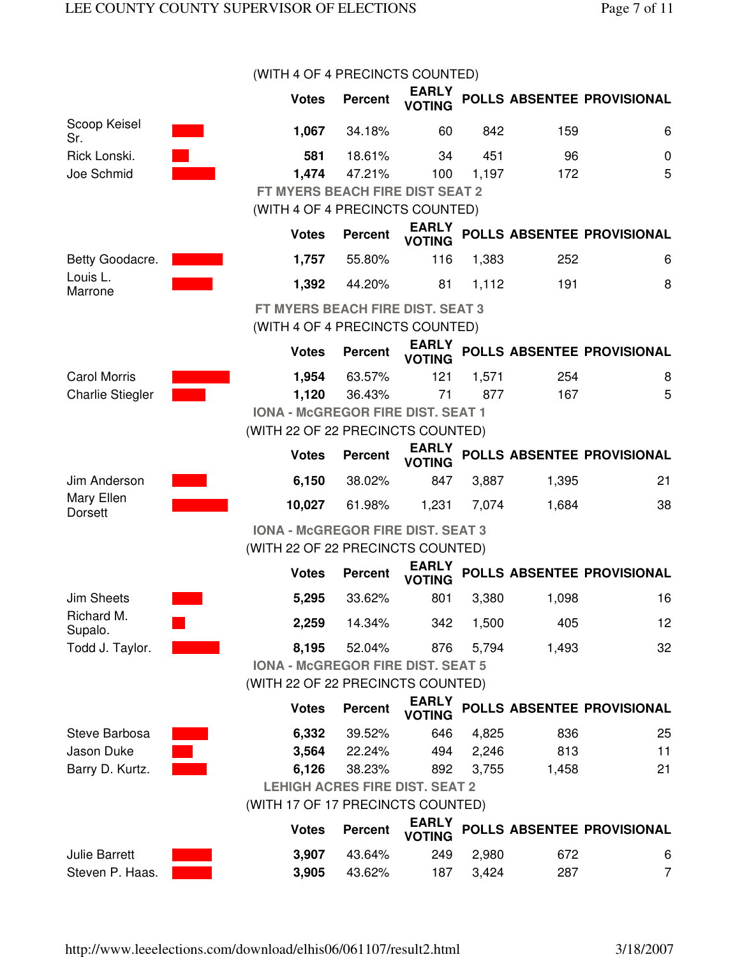|                             | (WITH 4 OF 4 PRECINCTS COUNTED)          |                |                               |       |       |                            |
|-----------------------------|------------------------------------------|----------------|-------------------------------|-------|-------|----------------------------|
|                             | <b>Votes</b>                             | <b>Percent</b> | <b>EARLY</b><br><b>VOTING</b> |       |       | POLLS ABSENTEE PROVISIONAL |
| Scoop Keisel<br>Sr.         | 1,067                                    | 34.18%         | 60                            | 842   | 159   | 6                          |
| Rick Lonski.                | 581                                      | 18.61%         | 34                            | 451   | 96    | $\mathbf 0$                |
| Joe Schmid                  | 1,474                                    | 47.21%         | 100                           | 1,197 | 172   | 5                          |
|                             | FT MYERS BEACH FIRE DIST SEAT 2          |                |                               |       |       |                            |
|                             | (WITH 4 OF 4 PRECINCTS COUNTED)          |                |                               |       |       |                            |
|                             | <b>Votes</b>                             | <b>Percent</b> | <b>EARLY</b><br><b>VOTING</b> |       |       | POLLS ABSENTEE PROVISIONAL |
| Betty Goodacre.<br>Louis L. | 1,757                                    | 55.80%         | 116                           | 1,383 | 252   | 6                          |
| Marrone                     | 1,392                                    | 44.20%         | 81                            | 1,112 | 191   | 8                          |
|                             | FT MYERS BEACH FIRE DIST. SEAT 3         |                |                               |       |       |                            |
|                             | (WITH 4 OF 4 PRECINCTS COUNTED)          |                |                               |       |       |                            |
|                             | <b>Votes</b>                             | <b>Percent</b> | <b>EARLY</b><br><b>VOTING</b> |       |       | POLLS ABSENTEE PROVISIONAL |
| <b>Carol Morris</b>         | 1,954                                    | 63.57%         | 121                           | 1,571 | 254   | 8                          |
| <b>Charlie Stiegler</b>     | 1,120                                    | 36.43%         | 71                            | 877   | 167   | 5                          |
|                             | <b>IONA - McGREGOR FIRE DIST. SEAT 1</b> |                |                               |       |       |                            |
|                             | (WITH 22 OF 22 PRECINCTS COUNTED)        |                |                               |       |       |                            |
|                             | <b>Votes</b>                             | <b>Percent</b> | <b>EARLY</b><br><b>VOTING</b> |       |       | POLLS ABSENTEE PROVISIONAL |
| Jim Anderson                | 6,150                                    | 38.02%         | 847                           | 3,887 | 1,395 | 21                         |
| Mary Ellen<br>Dorsett       | 10,027                                   | 61.98%         | 1,231                         | 7,074 | 1,684 | 38                         |
|                             | <b>IONA - McGREGOR FIRE DIST. SEAT 3</b> |                |                               |       |       |                            |
|                             | (WITH 22 OF 22 PRECINCTS COUNTED)        |                |                               |       |       |                            |
|                             | <b>Votes</b>                             | <b>Percent</b> | <b>EARLY</b><br><b>VOTING</b> |       |       | POLLS ABSENTEE PROVISIONAL |
| <b>Jim Sheets</b>           | 5,295                                    | 33.62%         | 801                           | 3,380 | 1,098 | 16                         |
| Richard M.<br>Supalo.       | 2,259                                    | 14.34%         | 342                           | 1,500 | 405   | 12                         |
| Todd J. Taylor.             | 8,195                                    | 52.04%         | 876                           | 5,794 | 1,493 | 32                         |
|                             | <b>IONA - McGREGOR FIRE DIST. SEAT 5</b> |                |                               |       |       |                            |
|                             | (WITH 22 OF 22 PRECINCTS COUNTED)        |                |                               |       |       |                            |
|                             | <b>Votes</b>                             | <b>Percent</b> | <b>EARLY</b><br><b>VOTING</b> |       |       | POLLS ABSENTEE PROVISIONAL |
| Steve Barbosa               | 6,332                                    | 39.52%         | 646                           | 4,825 | 836   | 25                         |
| Jason Duke                  | 3,564                                    | 22.24%         | 494                           | 2,246 | 813   | 11                         |
| Barry D. Kurtz.             | 6,126                                    | 38.23%         | 892                           | 3,755 | 1,458 | 21                         |
|                             | <b>LEHIGH ACRES FIRE DIST. SEAT 2</b>    |                |                               |       |       |                            |
|                             | (WITH 17 OF 17 PRECINCTS COUNTED)        |                |                               |       |       |                            |
|                             | <b>Votes</b>                             | <b>Percent</b> | <b>EARLY</b><br><b>VOTING</b> |       |       | POLLS ABSENTEE PROVISIONAL |
| <b>Julie Barrett</b>        | 3,907                                    | 43.64%         | 249                           | 2,980 | 672   | 6                          |
| Steven P. Haas.             | 3,905                                    | 43.62%         | 187                           | 3,424 | 287   | 7                          |

http://www.leeelections.com/download/elhis06/061107/result2.html 3/18/2007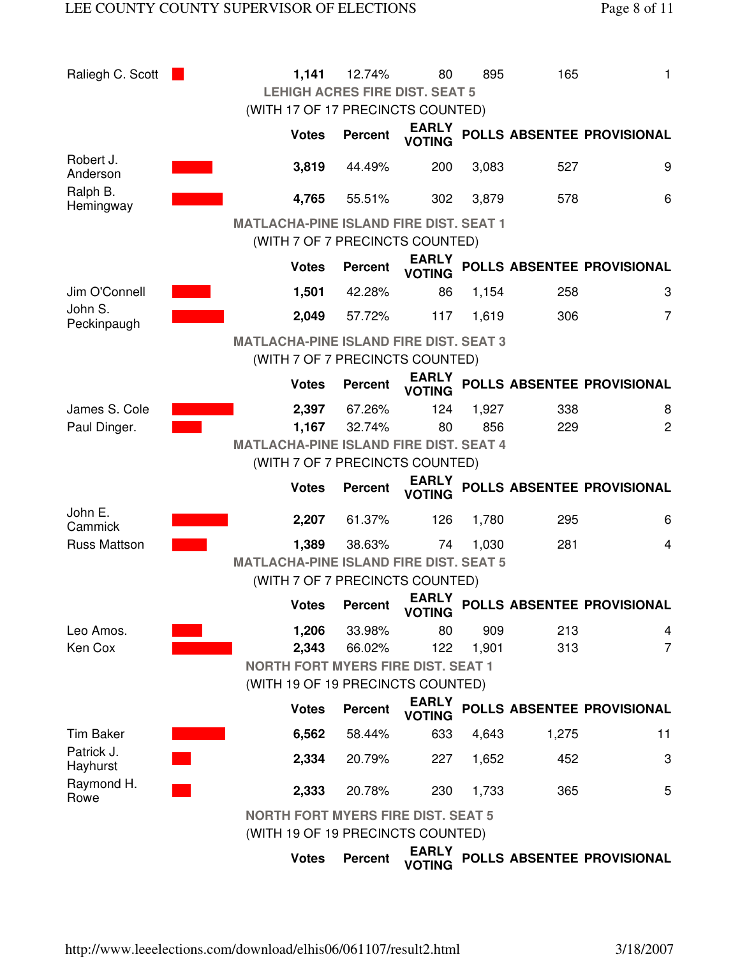| Raliegh C. Scott               |                                               | 1,141        | 12.74%         | 80                                                | 895   | 165   | 1                          |
|--------------------------------|-----------------------------------------------|--------------|----------------|---------------------------------------------------|-------|-------|----------------------------|
|                                |                                               |              |                | <b>LEHIGH ACRES FIRE DIST. SEAT 5</b>             |       |       |                            |
|                                |                                               |              |                | (WITH 17 OF 17 PRECINCTS COUNTED)                 |       |       |                            |
|                                |                                               | <b>Votes</b> | <b>Percent</b> | <b>EARLY</b><br><b>VOTING</b>                     |       |       | POLLS ABSENTEE PROVISIONAL |
| Robert J.<br>Anderson          |                                               | 3,819        | 44.49%         | 200                                               | 3,083 | 527   | 9                          |
| Ralph B.<br>Hemingway          |                                               | 4,765        | 55.51%         | 302                                               | 3,879 | 578   | 6                          |
|                                | <b>MATLACHA-PINE ISLAND FIRE DIST. SEAT 1</b> |              |                |                                                   |       |       |                            |
|                                |                                               |              |                | (WITH 7 OF 7 PRECINCTS COUNTED)                   |       |       |                            |
|                                |                                               | <b>Votes</b> | <b>Percent</b> | <b>EARLY</b><br><b>VOTING</b>                     |       |       | POLLS ABSENTEE PROVISIONAL |
| Jim O'Connell                  |                                               | 1,501        | 42.28%         | 86                                                | 1,154 | 258   | 3                          |
| John S.<br>Peckinpaugh         |                                               | 2,049        | 57.72%         | 117                                               | 1,619 | 306   | 7                          |
|                                | <b>MATLACHA-PINE ISLAND FIRE DIST. SEAT 3</b> |              |                |                                                   |       |       |                            |
|                                |                                               |              |                | (WITH 7 OF 7 PRECINCTS COUNTED)                   |       |       |                            |
|                                |                                               | <b>Votes</b> | <b>Percent</b> | <b>EARLY</b><br><b>VOTING</b>                     |       |       | POLLS ABSENTEE PROVISIONAL |
| James S. Cole                  |                                               | 2,397        | 67.26%         | 124                                               | 1,927 | 338   | 8                          |
| Paul Dinger.                   |                                               | 1,167        | 32.74%         | 80                                                | 856   | 229   | $\overline{2}$             |
|                                | <b>MATLACHA-PINE ISLAND FIRE DIST. SEAT 4</b> |              |                |                                                   |       |       |                            |
|                                |                                               |              |                | (WITH 7 OF 7 PRECINCTS COUNTED)                   |       |       |                            |
|                                |                                               | <b>Votes</b> | <b>Percent</b> | <b>EARLY</b><br><b>VOTING</b>                     |       |       | POLLS ABSENTEE PROVISIONAL |
| John E.<br>Cammick             |                                               | 2,207        | 61.37%         | 126                                               | 1,780 | 295   | 6                          |
| <b>Russ Mattson</b>            |                                               | 1,389        | 38.63%         | 74                                                | 1,030 | 281   | 4                          |
|                                | <b>MATLACHA-PINE ISLAND FIRE DIST. SEAT 5</b> |              |                |                                                   |       |       |                            |
|                                |                                               |              |                | (WITH 7 OF 7 PRECINCTS COUNTED)                   |       |       |                            |
|                                |                                               | <b>Votes</b> | <b>Percent</b> | <b>EARLY</b><br><b>VOTING</b>                     |       |       | POLLS ABSENTEE PROVISIONAL |
| Leo Amos.                      |                                               | 1,206        | 33.98%         | 80                                                | 909   | 213   | 4                          |
| Ken Cox                        |                                               | 2,343        | 66.02%         | 122                                               | 1,901 | 313   | $\overline{7}$             |
|                                |                                               |              |                | <b>NORTH FORT MYERS FIRE DIST. SEAT 1</b>         |       |       |                            |
|                                |                                               |              |                | (WITH 19 OF 19 PRECINCTS COUNTED)                 |       |       |                            |
|                                |                                               | <b>Votes</b> | <b>Percent</b> | <b>EARLY</b><br><b>VOTING</b>                     |       |       | POLLS ABSENTEE PROVISIONAL |
| <b>Tim Baker</b><br>Patrick J. |                                               | 6,562        | 58.44%         | 633                                               | 4,643 | 1,275 | 11                         |
| Hayhurst                       |                                               | 2,334        | 20.79%         | 227                                               | 1,652 | 452   | 3                          |
| Raymond H.<br>Rowe             |                                               | 2,333        | 20.78%         | 230                                               | 1,733 | 365   | 5                          |
|                                |                                               |              |                | <b>NORTH FORT MYERS FIRE DIST. SEAT 5</b>         |       |       |                            |
|                                |                                               |              |                | (WITH 19 OF 19 PRECINCTS COUNTED)<br><b>EARLY</b> |       |       |                            |
|                                |                                               | <b>Votes</b> | <b>Percent</b> | <b>VOTING</b>                                     |       |       | POLLS ABSENTEE PROVISIONAL |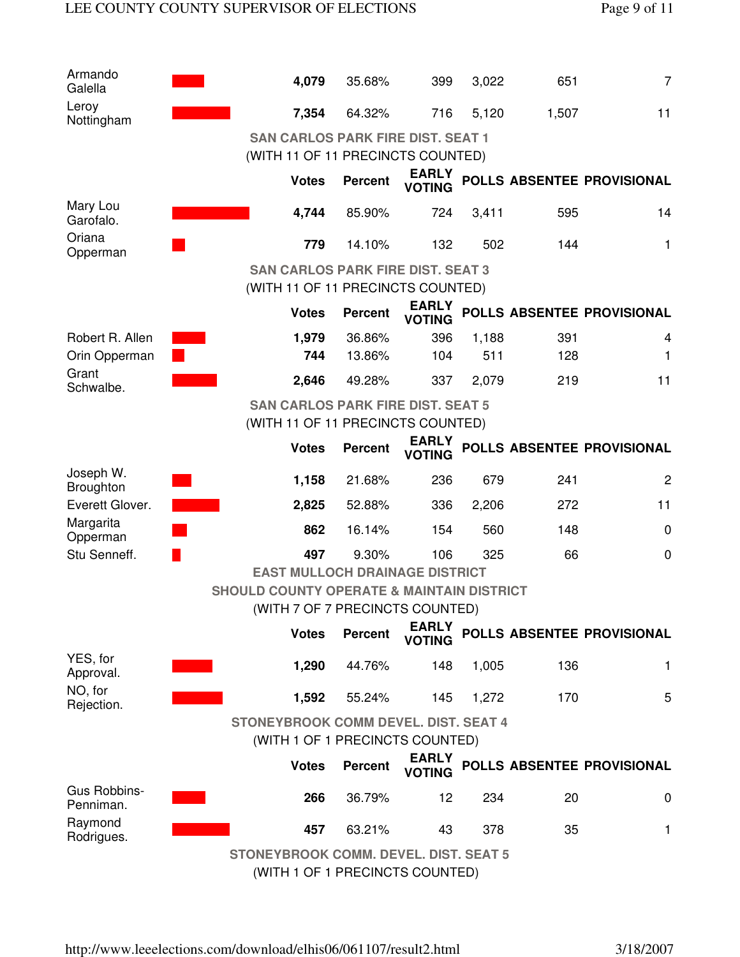| Armando<br>Galella            | 4,079                                                                                   | 35.68%         | 399                           | 3,022 | 651   | $\overline{7}$             |  |  |  |
|-------------------------------|-----------------------------------------------------------------------------------------|----------------|-------------------------------|-------|-------|----------------------------|--|--|--|
| Leroy<br>Nottingham           | 7,354                                                                                   | 64.32%         | 716                           | 5,120 | 1,507 | 11                         |  |  |  |
|                               | <b>SAN CARLOS PARK FIRE DIST. SEAT 1</b><br>(WITH 11 OF 11 PRECINCTS COUNTED)           |                |                               |       |       |                            |  |  |  |
|                               | <b>Votes</b>                                                                            | <b>Percent</b> | <b>EARLY</b><br><b>VOTING</b> |       |       | POLLS ABSENTEE PROVISIONAL |  |  |  |
| Mary Lou<br>Garofalo.         | 4,744                                                                                   | 85.90%         | 724                           | 3,411 | 595   | 14                         |  |  |  |
| Oriana<br>Opperman            | 779                                                                                     | 14.10%         | 132                           | 502   | 144   | 1                          |  |  |  |
|                               | <b>SAN CARLOS PARK FIRE DIST. SEAT 3</b><br>(WITH 11 OF 11 PRECINCTS COUNTED)           |                |                               |       |       |                            |  |  |  |
|                               | <b>Votes</b>                                                                            | <b>Percent</b> | <b>EARLY</b><br><b>VOTING</b> |       |       | POLLS ABSENTEE PROVISIONAL |  |  |  |
| Robert R. Allen               | 1,979                                                                                   | 36.86%         | 396                           | 1,188 | 391   | 4                          |  |  |  |
| Orin Opperman                 | 744                                                                                     | 13.86%         | 104                           | 511   | 128   | 1                          |  |  |  |
| Grant<br>Schwalbe.            | 2,646                                                                                   | 49.28%         | 337                           | 2,079 | 219   | 11                         |  |  |  |
|                               | <b>SAN CARLOS PARK FIRE DIST. SEAT 5</b><br>(WITH 11 OF 11 PRECINCTS COUNTED)           |                |                               |       |       |                            |  |  |  |
|                               | <b>Votes</b>                                                                            | <b>Percent</b> | <b>EARLY</b><br><b>VOTING</b> |       |       | POLLS ABSENTEE PROVISIONAL |  |  |  |
| Joseph W.<br><b>Broughton</b> | 1,158                                                                                   | 21.68%         | 236                           | 679   | 241   | $\mathbf{2}$               |  |  |  |
| Everett Glover.               | 2,825                                                                                   | 52.88%         | 336                           | 2,206 | 272   | 11                         |  |  |  |
| Margarita<br>Opperman         | 862                                                                                     | 16.14%         | 154                           | 560   | 148   | $\mathbf 0$                |  |  |  |
| Stu Senneff.                  | 497                                                                                     | 9.30%          | 106                           | 325   | 66    | $\mathbf 0$                |  |  |  |
|                               | <b>EAST MULLOCH DRAINAGE DISTRICT</b>                                                   |                |                               |       |       |                            |  |  |  |
|                               | <b>SHOULD COUNTY OPERATE &amp; MAINTAIN DISTRICT</b><br>(WITH 7 OF 7 PRECINCTS COUNTED) |                |                               |       |       |                            |  |  |  |
|                               | <b>Votes</b>                                                                            | <b>Percent</b> | <b>EARLY</b><br><b>VOTING</b> |       |       | POLLS ABSENTEE PROVISIONAL |  |  |  |
| YES, for<br>Approval.         | 1,290                                                                                   | 44.76%         | 148                           | 1,005 | 136   | 1                          |  |  |  |
| NO, for<br>Rejection.         | 1,592                                                                                   | 55.24%         | 145                           | 1,272 | 170   | 5                          |  |  |  |
|                               | <b>STONEYBROOK COMM DEVEL. DIST. SEAT 4</b>                                             |                |                               |       |       |                            |  |  |  |
|                               | (WITH 1 OF 1 PRECINCTS COUNTED)                                                         |                |                               |       |       |                            |  |  |  |
|                               | <b>Votes</b>                                                                            | <b>Percent</b> | <b>EARLY</b><br><b>VOTING</b> |       |       | POLLS ABSENTEE PROVISIONAL |  |  |  |
| Gus Robbins-<br>Penniman.     | 266                                                                                     | 36.79%         | 12                            | 234   | 20    | 0                          |  |  |  |
| Raymond<br>Rodrigues.         | 457                                                                                     | 63.21%         | 43                            | 378   | 35    | 1                          |  |  |  |
|                               | <b>STONEYBROOK COMM. DEVEL. DIST. SEAT 5</b><br>$MTII + OF + DDCONOTO COIINTED$         |                |                               |       |       |                            |  |  |  |

(WITH 1 OF 1 PRECINCTS COUNTED)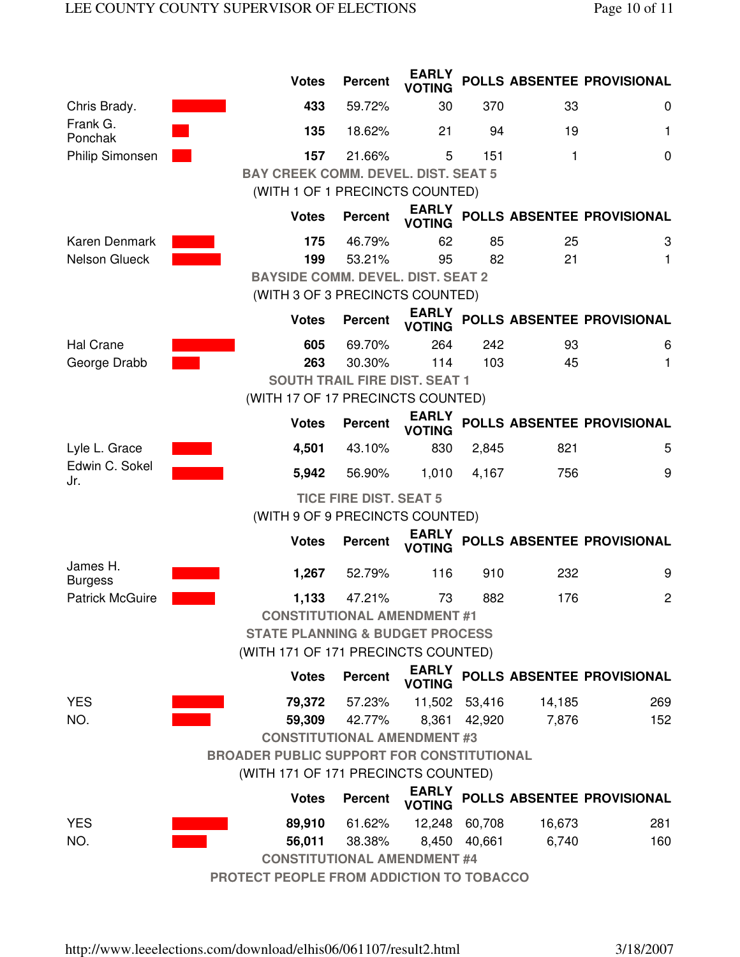|                            | <b>Votes</b>                                     | <b>Percent</b>                       | <b>EARLY</b><br><b>VOTING</b> |               |        | POLLS ABSENTEE PROVISIONAL |  |  |  |  |
|----------------------------|--------------------------------------------------|--------------------------------------|-------------------------------|---------------|--------|----------------------------|--|--|--|--|
| Chris Brady.               | 433                                              | 59.72%                               | 30                            | 370           | 33     | 0                          |  |  |  |  |
| Frank G.<br>Ponchak        | 135                                              | 18.62%                               | 21                            | 94            | 19     | 1                          |  |  |  |  |
| Philip Simonsen            | 157                                              | 21.66%                               | 5                             | 151           | 1      | 0                          |  |  |  |  |
|                            | <b>BAY CREEK COMM. DEVEL. DIST. SEAT 5</b>       |                                      |                               |               |        |                            |  |  |  |  |
|                            | (WITH 1 OF 1 PRECINCTS COUNTED)                  |                                      |                               |               |        |                            |  |  |  |  |
|                            | <b>Votes</b>                                     | <b>Percent</b>                       | <b>EARLY</b><br><b>VOTING</b> |               |        | POLLS ABSENTEE PROVISIONAL |  |  |  |  |
| Karen Denmark              | 175                                              | 46.79%                               | 62                            | 85            | 25     | 3                          |  |  |  |  |
| Nelson Glueck              | 199                                              | 53.21%                               | 95                            | 82            | 21     | 1                          |  |  |  |  |
|                            | <b>BAYSIDE COMM. DEVEL. DIST. SEAT 2</b>         |                                      |                               |               |        |                            |  |  |  |  |
|                            | (WITH 3 OF 3 PRECINCTS COUNTED)                  |                                      |                               |               |        |                            |  |  |  |  |
|                            | <b>Votes</b>                                     | <b>Percent</b>                       | <b>EARLY</b><br><b>VOTING</b> |               |        | POLLS ABSENTEE PROVISIONAL |  |  |  |  |
| <b>Hal Crane</b>           | 605                                              | 69.70%                               | 264                           | 242           | 93     | 6                          |  |  |  |  |
| George Drabb               | 263                                              | 30.30%                               | 114                           | 103           | 45     | 1                          |  |  |  |  |
|                            |                                                  | <b>SOUTH TRAIL FIRE DIST. SEAT 1</b> |                               |               |        |                            |  |  |  |  |
|                            | (WITH 17 OF 17 PRECINCTS COUNTED)                |                                      |                               |               |        |                            |  |  |  |  |
|                            | <b>Votes</b>                                     | <b>Percent</b>                       | <b>EARLY</b><br><b>VOTING</b> |               |        | POLLS ABSENTEE PROVISIONAL |  |  |  |  |
| Lyle L. Grace              | 4,501                                            | 43.10%                               | 830                           | 2,845         | 821    | 5                          |  |  |  |  |
| Edwin C. Sokel<br>Jr.      | 5,942                                            | 56.90%                               | 1,010                         | 4,167         | 756    | 9                          |  |  |  |  |
|                            | <b>TICE FIRE DIST. SEAT 5</b>                    |                                      |                               |               |        |                            |  |  |  |  |
|                            | (WITH 9 OF 9 PRECINCTS COUNTED)                  |                                      |                               |               |        |                            |  |  |  |  |
|                            | <b>Votes</b>                                     | <b>Percent</b>                       | <b>EARLY</b><br><b>VOTING</b> |               |        | POLLS ABSENTEE PROVISIONAL |  |  |  |  |
| James H.<br><b>Burgess</b> | 1,267                                            | 52.79%                               | 116                           | 910           | 232    | 9                          |  |  |  |  |
| <b>Patrick McGuire</b>     | 1,133                                            | 47.21%                               | 73                            | 882           | 176    | $\overline{c}$             |  |  |  |  |
|                            | <b>CONSTITUTIONAL AMENDMENT #1</b>               |                                      |                               |               |        |                            |  |  |  |  |
|                            | <b>STATE PLANNING &amp; BUDGET PROCESS</b>       |                                      |                               |               |        |                            |  |  |  |  |
|                            | (WITH 171 OF 171 PRECINCTS COUNTED)              |                                      |                               |               |        |                            |  |  |  |  |
|                            | <b>Votes</b>                                     | <b>Percent</b>                       | <b>EARLY</b><br><b>VOTING</b> |               |        | POLLS ABSENTEE PROVISIONAL |  |  |  |  |
| <b>YES</b>                 | 79,372                                           | 57.23%                               |                               | 11,502 53,416 | 14,185 | 269                        |  |  |  |  |
| NO.                        | 59,309                                           | 42.77%                               |                               | 8,361 42,920  | 7,876  | 152                        |  |  |  |  |
|                            | <b>CONSTITUTIONAL AMENDMENT #3</b>               |                                      |                               |               |        |                            |  |  |  |  |
|                            | <b>BROADER PUBLIC SUPPORT FOR CONSTITUTIONAL</b> |                                      |                               |               |        |                            |  |  |  |  |
|                            | (WITH 171 OF 171 PRECINCTS COUNTED)              |                                      |                               |               |        |                            |  |  |  |  |
|                            | <b>Votes</b>                                     | <b>Percent</b>                       | <b>EARLY</b><br><b>VOTING</b> |               |        | POLLS ABSENTEE PROVISIONAL |  |  |  |  |
| <b>YES</b>                 | 89,910                                           | 61.62%                               |                               | 12,248 60,708 | 16,673 | 281                        |  |  |  |  |
| NO.                        | 56,011                                           | 38.38%                               |                               | 8,450 40,661  | 6,740  | 160                        |  |  |  |  |
|                            | <b>CONSTITUTIONAL AMENDMENT #4</b>               |                                      |                               |               |        |                            |  |  |  |  |
|                            | PROTECT PEOPLE FROM ADDICTION TO TOBACCO         |                                      |                               |               |        |                            |  |  |  |  |